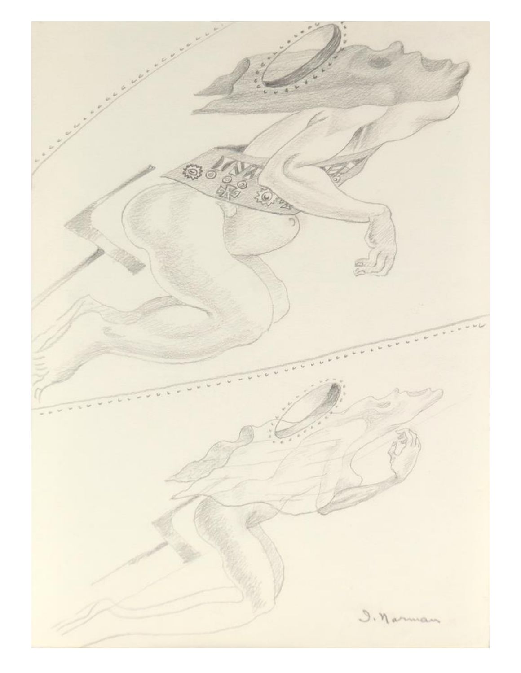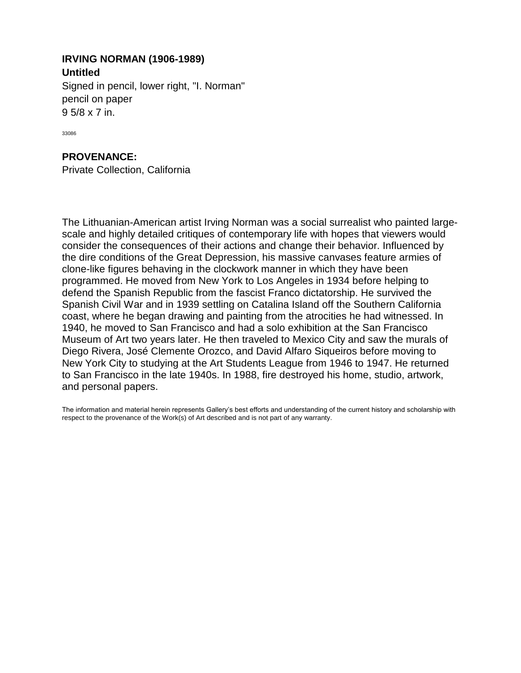## **IRVING NORMAN (1906-1989)**

**Untitled**

9 5/8 x 7 in. pencil on paper Signed in pencil, lower right, "I. Norman"

33086

## **PROVENANCE:**

Private Collection, California

The Lithuanian-American artist Irving Norman was a social surrealist who painted largescale and highly detailed critiques of contemporary life with hopes that viewers would consider the consequences of their actions and change their behavior. Influenced by the dire conditions of the Great Depression, his massive canvases feature armies of clone-like figures behaving in the clockwork manner in which they have been programmed. He moved from New York to Los Angeles in 1934 before helping to defend the Spanish Republic from the fascist Franco dictatorship. He survived the Spanish Civil War and in 1939 settling on Catalina Island off the Southern California coast, where he began drawing and painting from the atrocities he had witnessed. In 1940, he moved to San Francisco and had a solo exhibition at the San Francisco Museum of Art two years later. He then traveled to Mexico City and saw the murals of Diego Rivera, José Clemente Orozco, and David Alfaro Siqueiros before moving to New York City to studying at the Art Students League from 1946 to 1947. He returned to San Francisco in the late 1940s. In 1988, fire destroyed his home, studio, artwork, and personal papers.

The information and material herein represents Gallery's best efforts and understanding of the current history and scholarship with respect to the provenance of the Work(s) of Art described and is not part of any warranty.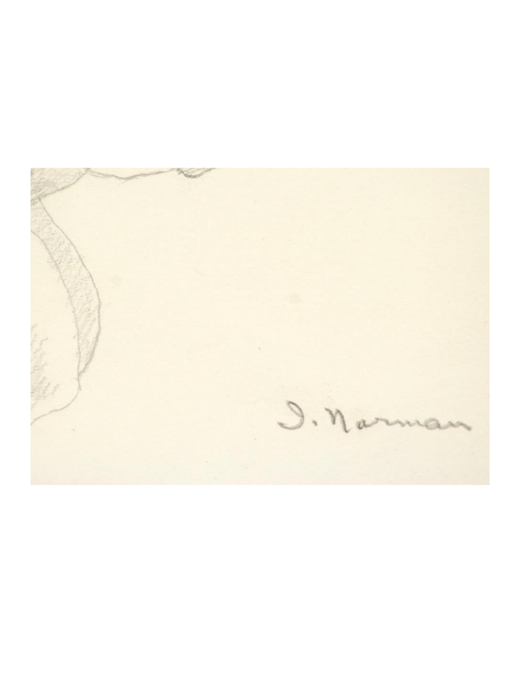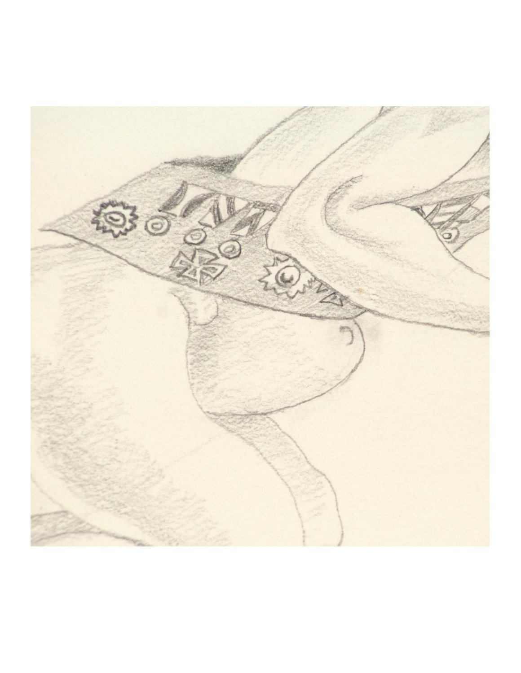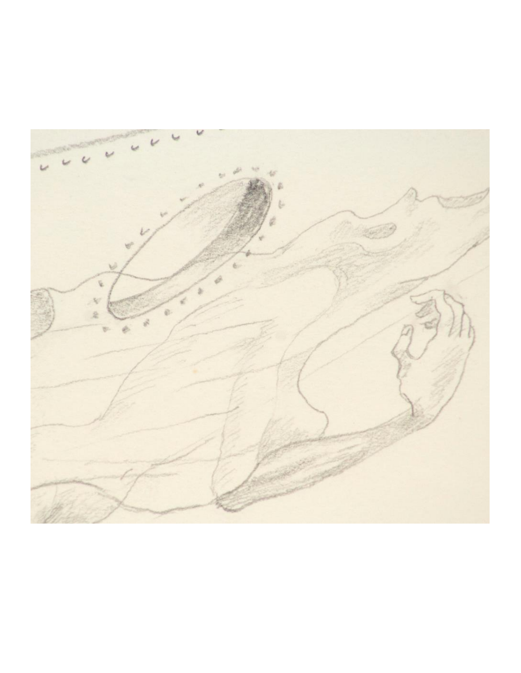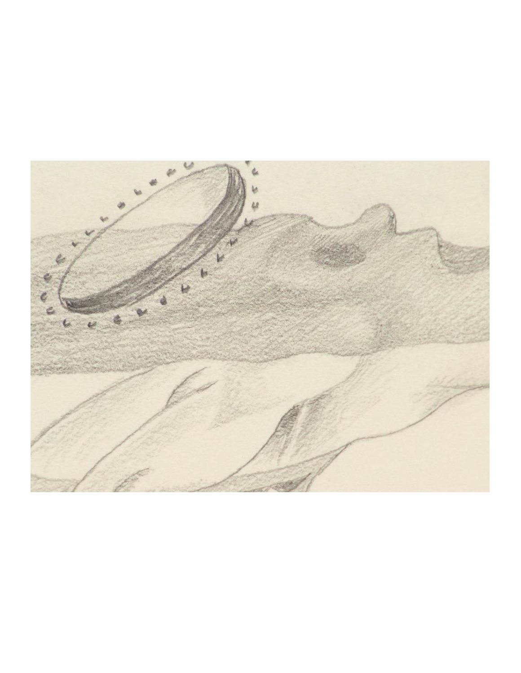